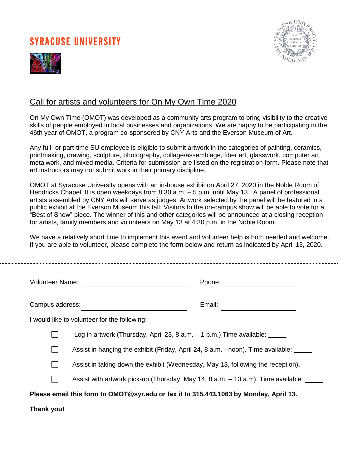## **SYRACUSE UNIVERSITY**





### Call for artists and volunteers for On My Own Time 2020

On My Own Time (OMOT) was developed as a community arts program to bring visibility to the creative skills of people employed in local businesses and organizations. We are happy to be participating in the 46th year of OMOT, a program co-sponsored by CNY Arts and the Everson Museum of Art.

Any full- or part-time SU employee is eligible to submit artwork in the categories of painting, ceramics, printmaking, drawing, sculpture, photography, collage/assemblage, fiber art, glasswork, computer art, metalwork, and mixed media. Criteria for submission are listed on the registration form. Please note that art instructors may not submit work in their primary discipline.

OMOT at Syracuse University opens with an in-house exhibit on April 27, 2020 in the Noble Room of Hendricks Chapel. It is open weekdays from 8:30 a.m. – 5 p.m. until May 13. A panel of professional artists assembled by CNY Arts will serve as judges. Artwork selected by the panel will be featured in a public exhibit at the Everson Museum this fall. Visitors to the on-campus show will be able to vote for a "Best of Show" piece. The winner of this and other categories will be announced at a closing reception for artists, family members and volunteers on May 13 at 4:30 p.m. in the Noble Room.

We have a relatively short time to implement this event and volunteer help is both needed and welcome. If you are able to volunteer, please complete the form below and return as indicated by April 13, 2020.

| <b>Volunteer Name:</b>                                                                |                                                                                  | Phone: |  |  |
|---------------------------------------------------------------------------------------|----------------------------------------------------------------------------------|--------|--|--|
| Campus address:                                                                       |                                                                                  | Email: |  |  |
| I would like to volunteer for the following:                                          |                                                                                  |        |  |  |
|                                                                                       | Log in artwork (Thursday, April 23, 8 a.m. $-1$ p.m.) Time available: $\sqrt{ }$ |        |  |  |
|                                                                                       | Assist in hanging the exhibit (Friday, April 24, 8 a.m. - noon). Time available: |        |  |  |
|                                                                                       | Assist in taking down the exhibit (Wednesday, May 13, following the reception).  |        |  |  |
|                                                                                       | Assist with artwork pick-up (Thursday, May 14, 8 a.m. – 10 a.m). Time available: |        |  |  |
| Please email this form to OMOT@syr.edu or fax it to 315.443.1063 by Monday, April 13. |                                                                                  |        |  |  |
| Thank you!                                                                            |                                                                                  |        |  |  |